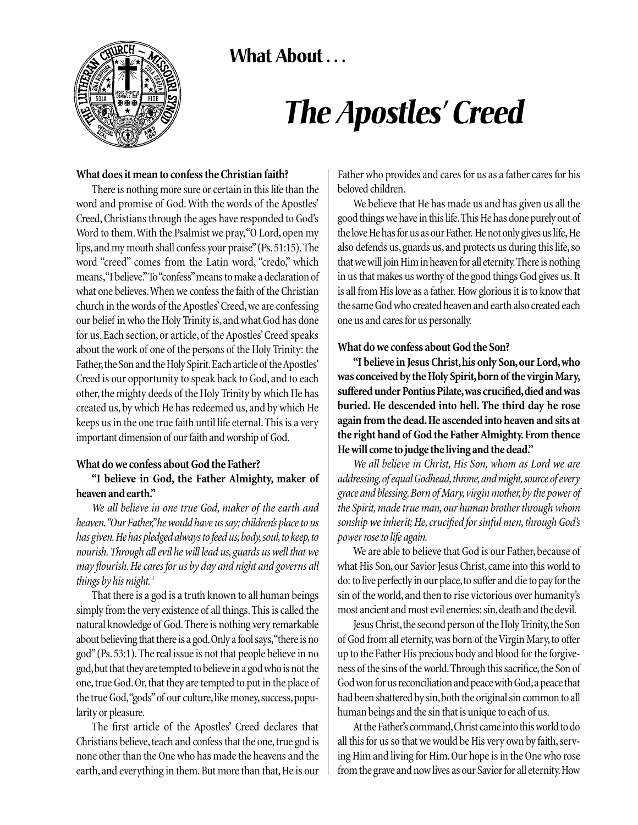



# *The Apostles' Creed*

#### **What does it mean to confess the Christian faith?**

There is nothing more sure or certain in this life than the word and promise of God. With the words of the Apostles' Creed, Christians through the ages have responded to God's Word to them.With the Psalmist we pray,"O Lord, open my lips,and my mouth shall confess your praise"(Ps.51:15).The word "creed" comes from the Latin word, "credo," which means,"I believe."To "confess"means to make a declaration of what one believes.When we confess the faith of the Christian church in the words of the Apostles' Creed, we are confessing our belief in who the Holy Trinity is, and what God has done for us. Each section, or article, of the Apostles' Creed speaks about the work of one of the persons of the Holy Trinity: the Father, the Son and the Holy Spirit. Each article of the Apostles' Creed is our opportunity to speak back to God, and to each other, the mighty deeds of the Holy Trinity by which He has created us, by which He has redeemed us, and by which He keeps us in the one true faith until life eternal. This is a very important dimension of our faith and worship of God.

#### **What do we confess about God the Father?**

### **"I believe in God, the Father Almighty, maker of heaven and earth."**

*We all believe in one true God, maker of the earth and heaven."Our Father,"he would have us say; children's place to us has given.He has pledged always to feed us;body,soul,to keep,to nourish. Through all evil he will lead us, guards us well that we may flourish. He cares for us by day and night and governs all things by his might. <sup>1</sup>*

That there is a god is a truth known to all human beings simply from the very existence of all things.This is called the natural knowledge of God.There is nothing very remarkable about believing that there is a god.Only a fool says,"there is no god"(Ps.53:1).The real issue is not that people believe in no god,but that they are tempted to believe in a god who is not the one, true God.Or, that they are tempted to put in the place of the true God,"gods"of our culture,like money,success,popularity or pleasure.

The first article of the Apostles' Creed declares that Christians believe, teach and confess that the one, true god is none other than the One who has made the heavens and the earth, and everything in them. But more than that, He is our Father who provides and cares for us as a father cares for his beloved children.

We believe that He has made us and has given us all the good things we have in this life.This He has done purely out of the love He has for us as our Father. He not only gives us life, He also defends us, guards us, and protects us during this life, so that we will join Him in heaven for all eternity.There is nothing in us that makes us worthy of the good things God gives us. It is all from His love as a father. How glorious it is to know that the same God who created heaven and earth also created each one us and cares for us personally.

#### **What do we confess about God the Son?**

**"I believe in Jesus Christ, his only Son, our Lord, who was conceived by the Holy Spirit,born of the virgin Mary, suffered under Pontius Pilate,was crucified,died and was buried. He descended into hell. The third day he rose again from the dead.He ascended into heaven and sits at the right hand of God the Father Almighty. From thence He will come to judge the living and the dead."**

*We all believe in Christ, His Son, whom as Lord we are addressing,of equal Godhead,throne,and might,source of every grace and blessing.Born of Mary,virgin mother,by the power of the Spirit, made true man, our human brother through whom sonship we inherit; He, crucified for sinful men, through God's power rose to life again.*

We are able to believe that God is our Father, because of what His Son, our Savior Jesus Christ, came into this world to do: to live perfectly in our place,to suffer and die to pay for the sin of the world, and then to rise victorious over humanity's most ancient and most evil enemies: sin,death and the devil.

Jesus Christ, the second person of the Holy Trinity, the Son of God from all eternity,was born of the Virgin Mary,to offer up to the Father His precious body and blood for the forgiveness of the sins of the world. Through this sacrifice, the Son of God won for us reconciliation and peace with God,a peace that had been shattered by sin, both the original sin common to all human beings and the sin that is unique to each of us.

At the Father's command,Christ came into this world to do all this for us so that we would be His very own by faith, serving Him and living for Him. Our hope is in the One who rose from the grave and now lives as our Savior for all eternity.How